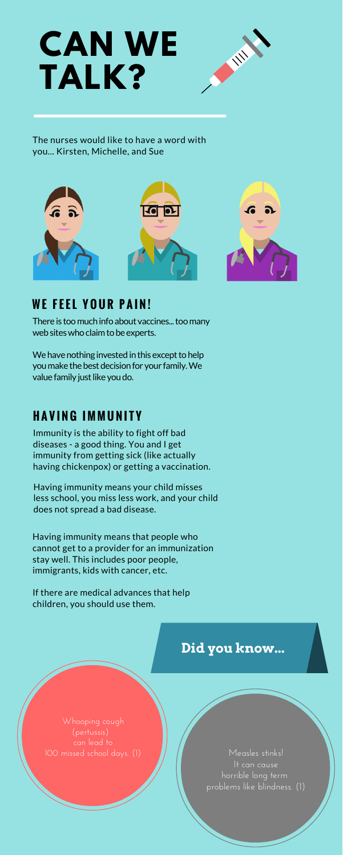# **W E F E E L Y O U R P A I N !**

There is too much info about vaccines... too many web sites who claim to be experts.

We have nothing invested in this except to help you make the best decision for your family. We value family just like you do.

# **H A V I N G I M M U N I T Y**

Immunity is the ability to fight off bad diseases - a good thing. You and I get immunity from getting sick (like actually having chickenpox) or getting a vaccination.

Having immunity means your child misses less school, you miss less work, and your child does not spread a bad disease.

Having immunity means that people who cannot get to a provider for an immunization stay well. This includes poor people, immigrants, kids with cancer, etc.

If there are medical advances that help children, you should use them.

The nurses would like to have a word with you... Kirsten, Michelle, and Sue



# **CAN WE TALK?**



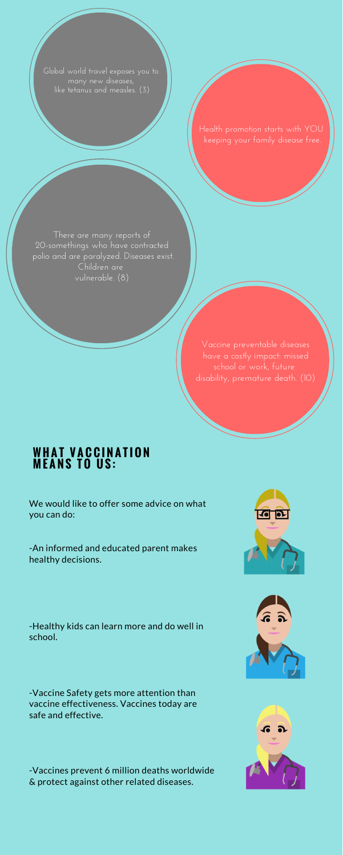We would like to offer some advice on what



you can do:

-An informed and educated parent makes healthy decisions.

-Healthy kids can learn more and do well in school.

-Vaccine Safety gets more attention than vaccine effectiveness. Vaccines today are safe and effective.

-Vaccines prevent 6 million deaths worldwide & protect against other related diseases.





Global world travel exposes you to many new diseases, like tetanus and measles. (3)

> Health promotion starts with YOU keeping your family disease free.

There are many reports of 20-somethings who have contracted polio and are paralyzed. Diseases exist. Children are vulnerable. (8)

> Vaccine preventable diseases have a costly impact: missed school or work, future disability, premature death. (10)

### **W H A T V A C C I N A T I O N M E A N S T O U S :**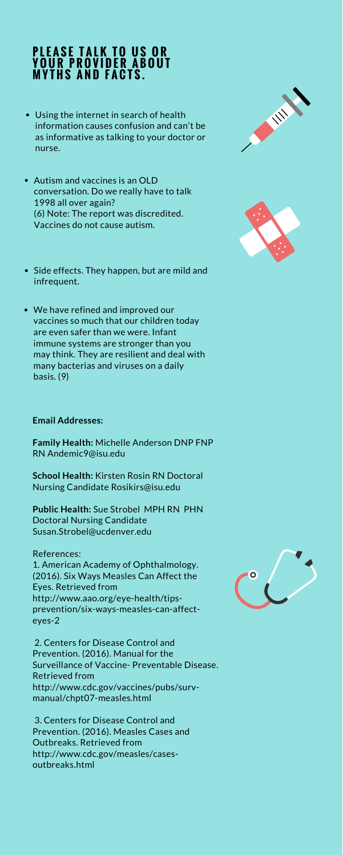#### **Email Addresses:**

**Family Health:** Michelle Anderson DNP FNP RN Andemic9@isu.edu

**School Health:** Kirsten Rosin RN Doctoral Nursing Candidate Rosikirs@isu.edu

**Public Health:** Sue Strobel MPH RN PHN





Doctoral Nursing Candidate Susan.Strobel@ucdenver.edu

#### References:

1. American Academy of Ophthalmology. (2016). Six Ways Measles Can Affect the Eyes. Retrieved from http://www.aao.org/eye-health/tipsprevention/six-ways-measles-can-affecteyes-2



2. Centers for Disease Control and Prevention. (2016). Manual for the Surveillance of Vaccine- Preventable Disease. Retrieved from http://www.cdc.gov/vaccines/pubs/survmanual/chpt07-measles.html

3. Centers for Disease Control and Prevention. (2016). Measles Cases and Outbreaks. Retrieved from http://www.cdc.gov/measles/casesoutbreaks.html

## **P L E A S E T A L K T O U S O R Y O U R P R O V I D E R A B O U T M Y T H S A N D F A C T S .**

- Using the internet in search of health information causes confusion and can't be as informative as talking to your doctor or nurse.
- Autism and vaccines is an OLD conversation. Do we really have to talk 1998 all over again? (6) Note: The report was discredited. Vaccines do not cause autism.
- Side effects. They happen, but are mild and infrequent.
- We have refined and improved our vaccines so much that our children today are even safer than we were. Infant immune systems are stronger than you may think. They are resilient and deal with many bacterias and viruses on a daily basis. (9)